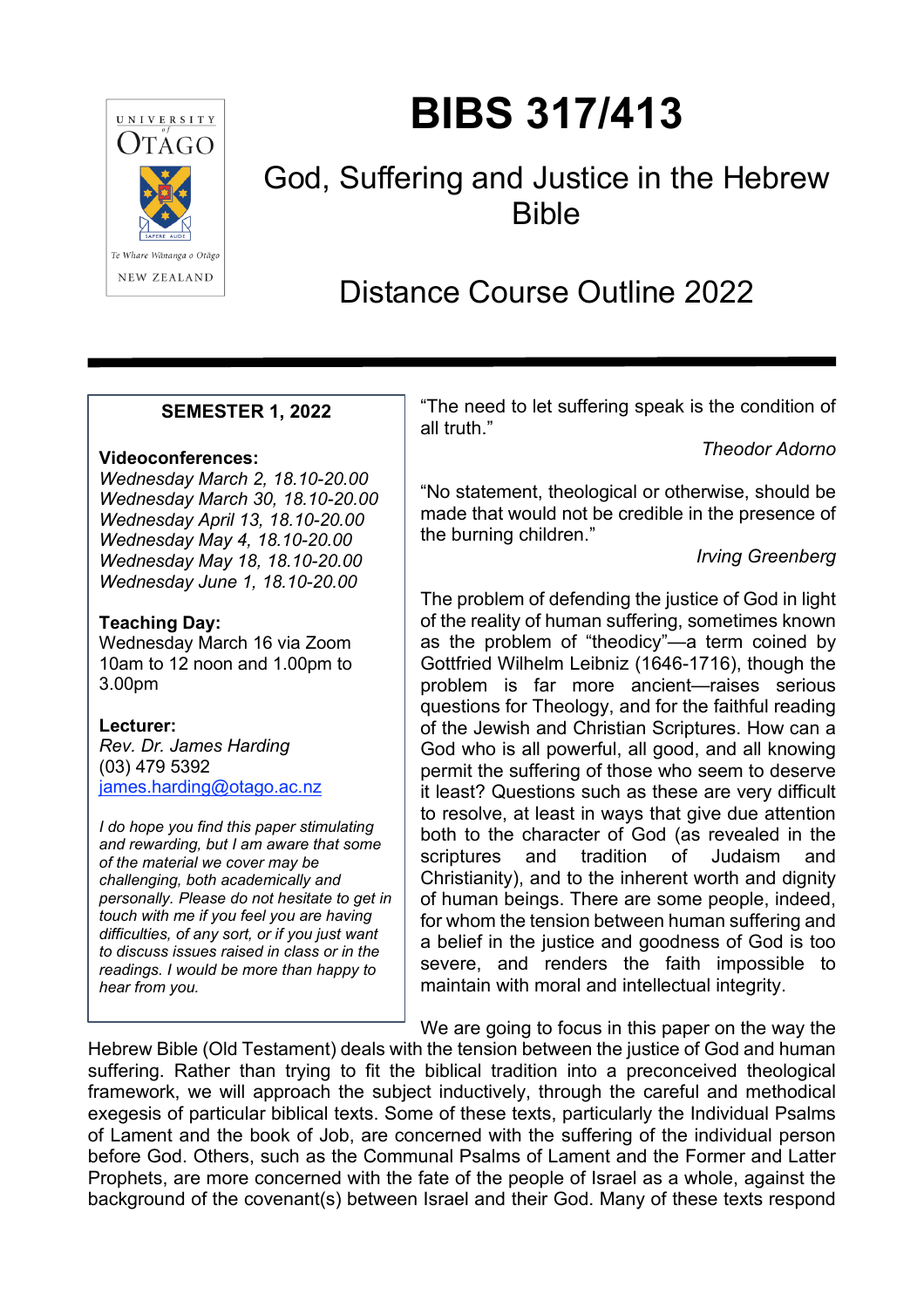

# **BIBS 317/413**

### God, Suffering and Justice in the Hebrew Bible

## Distance Course Outline 2022

#### **SEMESTER 1, 2022**

#### **Videoconferences:**

*Wednesday March 2, 18.10-20.00 Wednesday March 30, 18.10-20.00 Wednesday April 13, 18.10-20.00 Wednesday May 4, 18.10-20.00 Wednesday May 18, 18.10-20.00 Wednesday June 1, 18.10-20.00*

#### **Teaching Day:**

Wednesday March 16 via Zoom 10am to 12 noon and 1.00pm to 3.00pm

#### **Lecturer:**

*Rev. Dr. James Harding* (03) 479 5392 [james.harding@otago.ac.nz](mailto:james.harding@otago.ac.nz)

*I do hope you find this paper stimulating and rewarding, but I am aware that some of the material we cover may be challenging, both academically and personally. Please do not hesitate to get in touch with me if you feel you are having difficulties, of any sort, or if you just want to discuss issues raised in class or in the readings. I would be more than happy to hear from you.*

"The need to let suffering speak is the condition of all truth."

*Theodor Adorno*

"No statement, theological or otherwise, should be made that would not be credible in the presence of the burning children."

*Irving Greenberg*

The problem of defending the justice of God in light of the reality of human suffering, sometimes known as the problem of "theodicy"—a term coined by Gottfried Wilhelm Leibniz (1646-1716), though the problem is far more ancient—raises serious questions for Theology, and for the faithful reading of the Jewish and Christian Scriptures. How can a God who is all powerful, all good, and all knowing permit the suffering of those who seem to deserve it least? Questions such as these are very difficult to resolve, at least in ways that give due attention both to the character of God (as revealed in the scriptures and tradition of Judaism and Christianity), and to the inherent worth and dignity of human beings. There are some people, indeed, for whom the tension between human suffering and a belief in the justice and goodness of God is too severe, and renders the faith impossible to maintain with moral and intellectual integrity.

We are going to focus in this paper on the way the

Hebrew Bible (Old Testament) deals with the tension between the justice of God and human suffering. Rather than trying to fit the biblical tradition into a preconceived theological framework, we will approach the subject inductively, through the careful and methodical exegesis of particular biblical texts. Some of these texts, particularly the Individual Psalms of Lament and the book of Job, are concerned with the suffering of the individual person before God. Others, such as the Communal Psalms of Lament and the Former and Latter Prophets, are more concerned with the fate of the people of Israel as a whole, against the background of the covenant(s) between Israel and their God. Many of these texts respond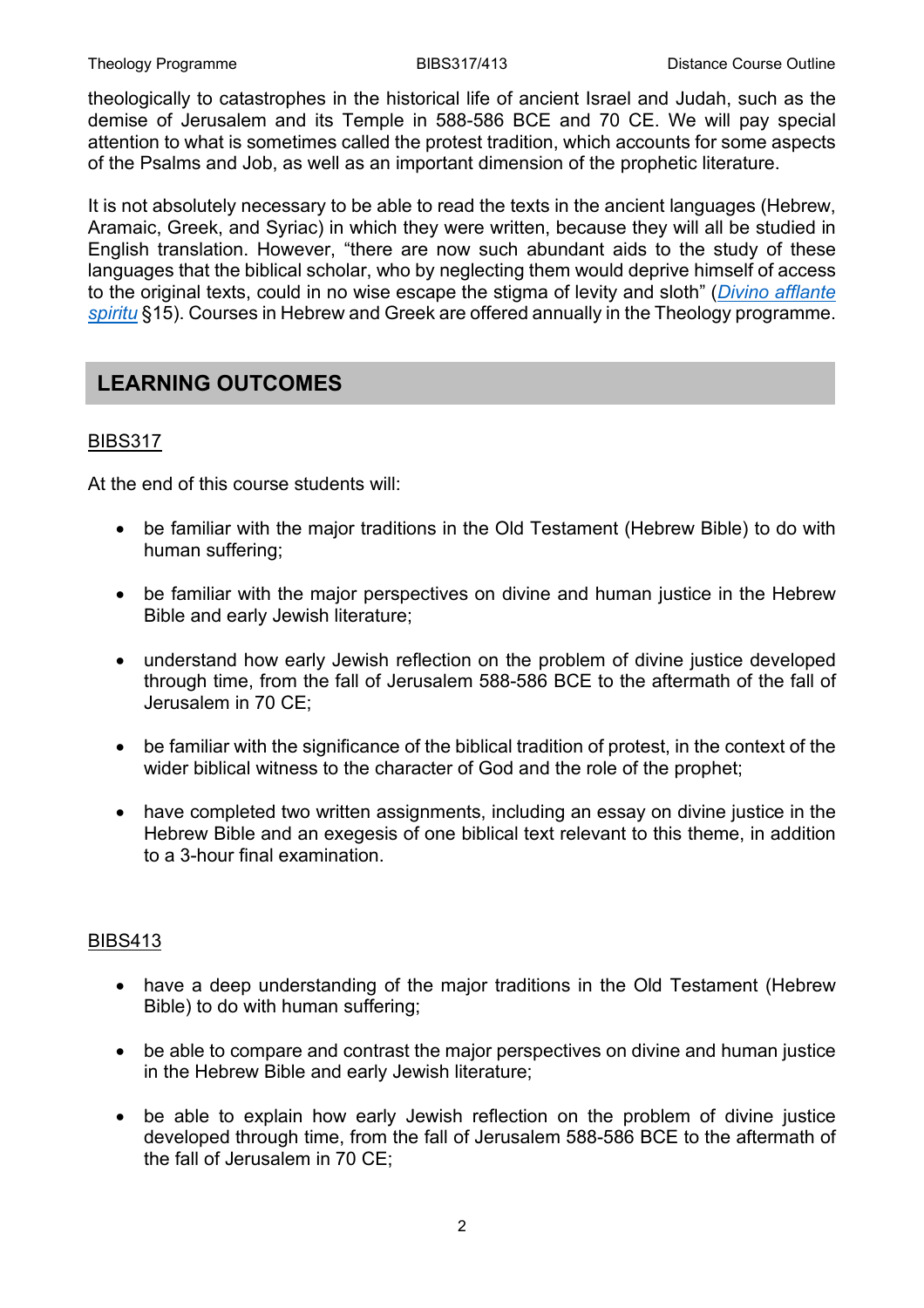theologically to catastrophes in the historical life of ancient Israel and Judah, such as the demise of Jerusalem and its Temple in 588-586 BCE and 70 CE. We will pay special attention to what is sometimes called the protest tradition, which accounts for some aspects of the Psalms and Job, as well as an important dimension of the prophetic literature.

It is not absolutely necessary to be able to read the texts in the ancient languages (Hebrew, Aramaic, Greek, and Syriac) in which they were written, because they will all be studied in English translation. However, "there are now such abundant aids to the study of these languages that the biblical scholar, who by neglecting them would deprive himself of access to the original texts, could in no wise escape the stigma of levity and sloth" (*[Divino afflante](http://www.vatican.va/content/pius-xii/en/encyclicals/documents/hf_p-xii_enc_30091943_divino-afflante-spiritu.html)  [spiritu](http://www.vatican.va/content/pius-xii/en/encyclicals/documents/hf_p-xii_enc_30091943_divino-afflante-spiritu.html)* §15). Courses in Hebrew and Greek are offered annually in the Theology programme.

### **LEARNING OUTCOMES**

#### BIBS317

At the end of this course students will:

- be familiar with the major traditions in the Old Testament (Hebrew Bible) to do with human suffering;
- be familiar with the major perspectives on divine and human justice in the Hebrew Bible and early Jewish literature;
- understand how early Jewish reflection on the problem of divine justice developed through time, from the fall of Jerusalem 588-586 BCE to the aftermath of the fall of Jerusalem in 70 CE;
- be familiar with the significance of the biblical tradition of protest, in the context of the wider biblical witness to the character of God and the role of the prophet;
- have completed two written assignments, including an essay on divine justice in the Hebrew Bible and an exegesis of one biblical text relevant to this theme, in addition to a 3-hour final examination.

#### BIBS413

- have a deep understanding of the major traditions in the Old Testament (Hebrew Bible) to do with human suffering;
- be able to compare and contrast the major perspectives on divine and human justice in the Hebrew Bible and early Jewish literature;
- be able to explain how early Jewish reflection on the problem of divine justice developed through time, from the fall of Jerusalem 588-586 BCE to the aftermath of the fall of Jerusalem in 70 CE;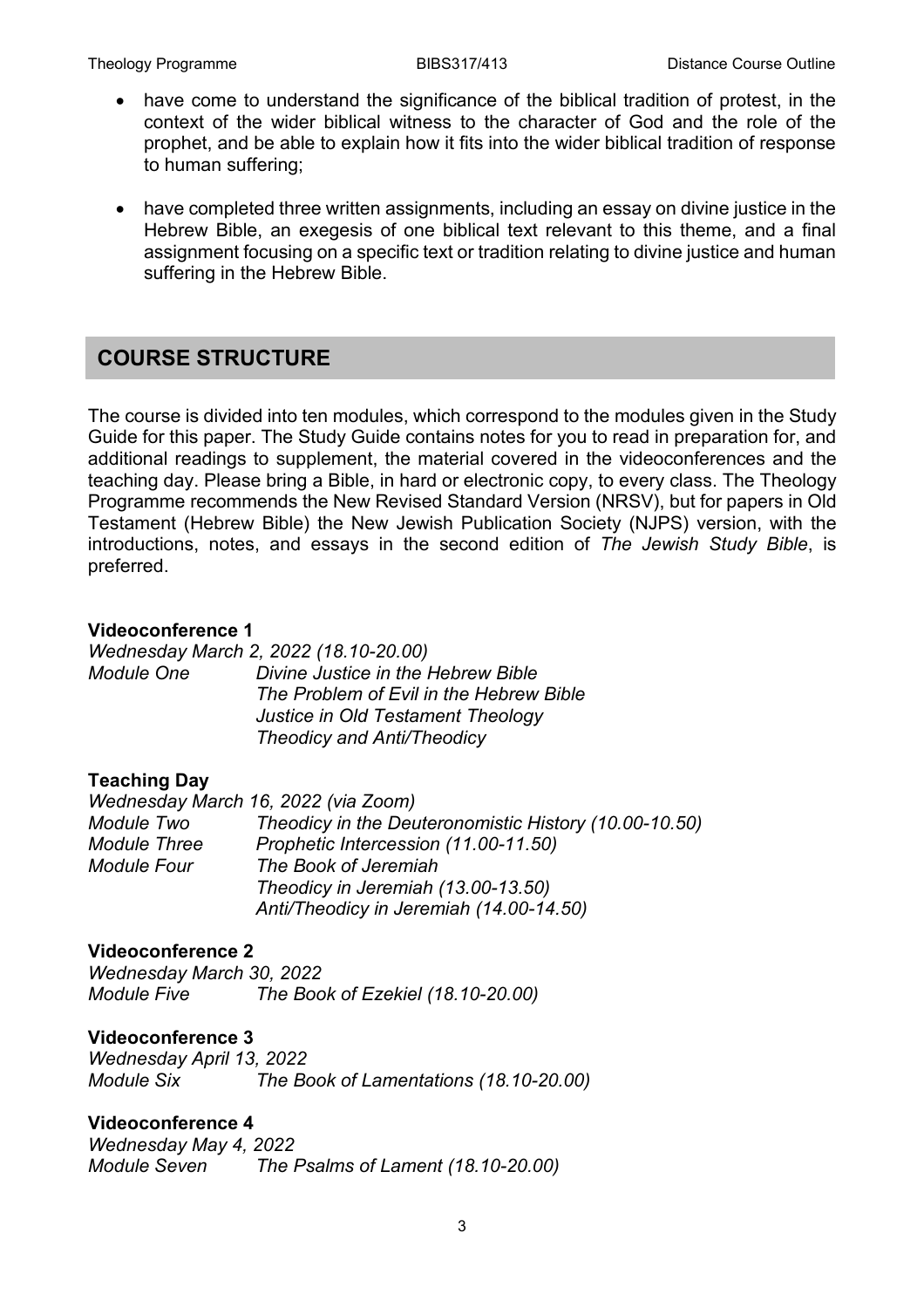- have come to understand the significance of the biblical tradition of protest, in the context of the wider biblical witness to the character of God and the role of the prophet, and be able to explain how it fits into the wider biblical tradition of response to human suffering;
- have completed three written assignments, including an essay on divine justice in the Hebrew Bible, an exegesis of one biblical text relevant to this theme, and a final assignment focusing on a specific text or tradition relating to divine justice and human suffering in the Hebrew Bible.

#### **COURSE STRUCTURE**

The course is divided into ten modules, which correspond to the modules given in the Study Guide for this paper. The Study Guide contains notes for you to read in preparation for, and additional readings to supplement, the material covered in the videoconferences and the teaching day. Please bring a Bible, in hard or electronic copy, to every class. The Theology Programme recommends the New Revised Standard Version (NRSV), but for papers in Old Testament (Hebrew Bible) the New Jewish Publication Society (NJPS) version, with the introductions, notes, and essays in the second edition of *The Jewish Study Bible*, is preferred.

#### **Videoconference 1**

*Wednesday March 2, 2022 (18.10-20.00) Module One Divine Justice in the Hebrew Bible The Problem of Evil in the Hebrew Bible Justice in Old Testament Theology Theodicy and Anti/Theodicy*

#### **Teaching Day**

|                     | Wednesday March 16, 2022 (via Zoom)                   |
|---------------------|-------------------------------------------------------|
| Module Two          | Theodicy in the Deuteronomistic History (10.00-10.50) |
| <b>Module Three</b> | Prophetic Intercession (11.00-11.50)                  |
| <b>Module Four</b>  | The Book of Jeremiah                                  |
|                     | Theodicy in Jeremiah (13.00-13.50)                    |
|                     | Anti/Theodicy in Jeremiah (14.00-14.50)               |

#### **Videoconference 2**

*Wednesday March 30, 2022 Module Five The Book of Ezekiel (18.10-20.00)*

#### **Videoconference 3**

*Wednesday April 13, 2022 Module Six The Book of Lamentations (18.10-20.00)*

#### **Videoconference 4**

*Wednesday May 4, 2022 Module Seven The Psalms of Lament (18.10-20.00)*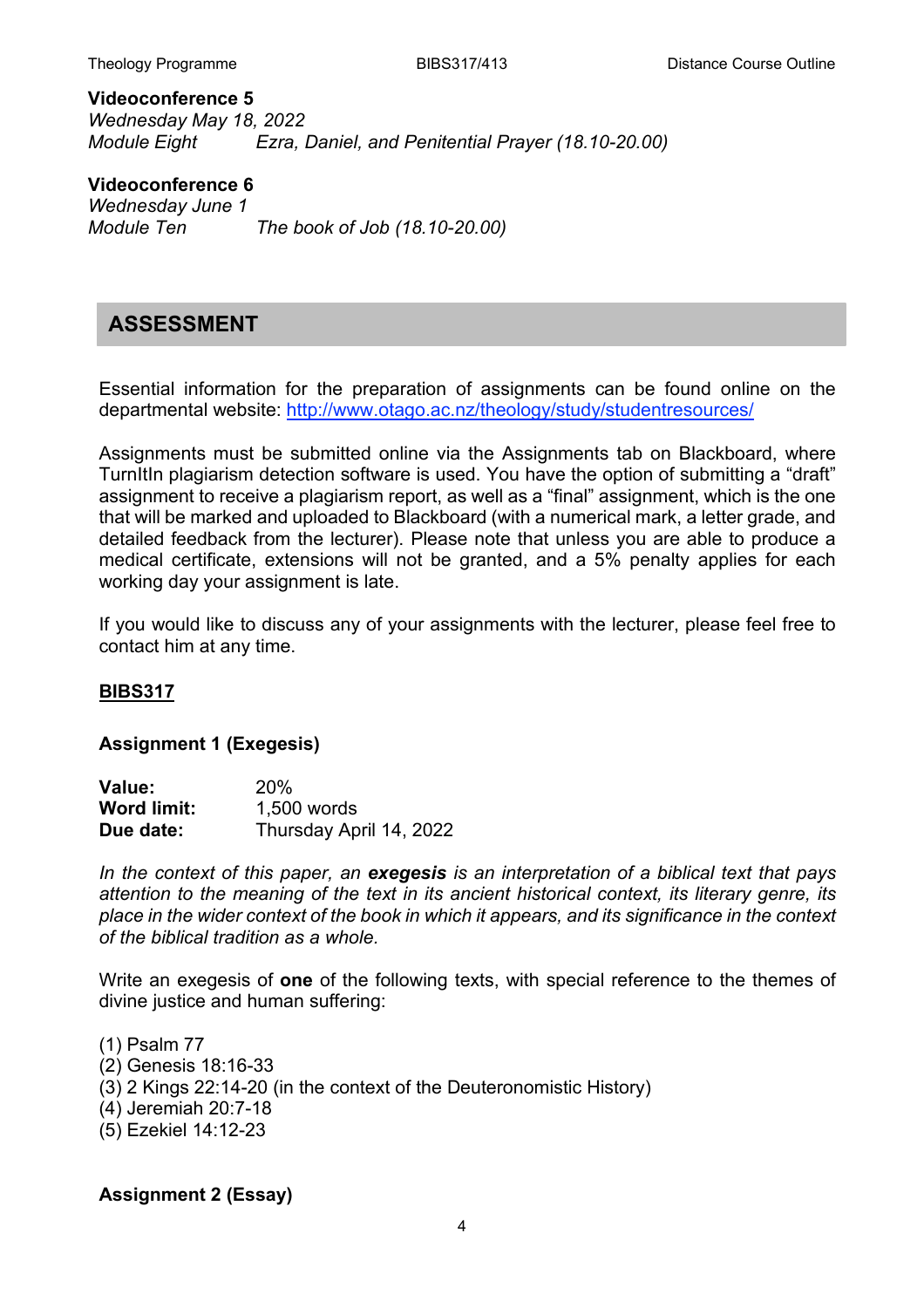**Videoconference 5** *Wednesday May 18, 2022 Ezra, Daniel, and Penitential Prayer (18.10-20.00)* 

**Videoconference 6** *Wednesday June 1 Module Ten The book of Job (18.10-20.00)*

#### **ASSESSMENT**

Essential information for the preparation of assignments can be found online on the departmental website: <http://www.otago.ac.nz/theology/study/studentresources/>

Assignments must be submitted online via the Assignments tab on Blackboard, where TurnItIn plagiarism detection software is used. You have the option of submitting a "draft" assignment to receive a plagiarism report, as well as a "final" assignment, which is the one that will be marked and uploaded to Blackboard (with a numerical mark, a letter grade, and detailed feedback from the lecturer). Please note that unless you are able to produce a medical certificate, extensions will not be granted, and a 5% penalty applies for each working day your assignment is late.

If you would like to discuss any of your assignments with the lecturer, please feel free to contact him at any time.

#### **BIBS317**

#### **Assignment 1 (Exegesis)**

| Value:             | 20%                     |
|--------------------|-------------------------|
| <b>Word limit:</b> | 1,500 words             |
| Due date:          | Thursday April 14, 2022 |

*In the context of this paper, an exegesis is an interpretation of a biblical text that pays attention to the meaning of the text in its ancient historical context, its literary genre, its place in the wider context of the book in which it appears, and its significance in the context of the biblical tradition as a whole.*

Write an exegesis of **one** of the following texts, with special reference to the themes of divine justice and human suffering:

(1) Psalm 77 (2) Genesis 18:16-33 (3) 2 Kings 22:14-20 (in the context of the Deuteronomistic History) (4) Jeremiah 20:7-18 (5) Ezekiel 14:12-23

#### **Assignment 2 (Essay)**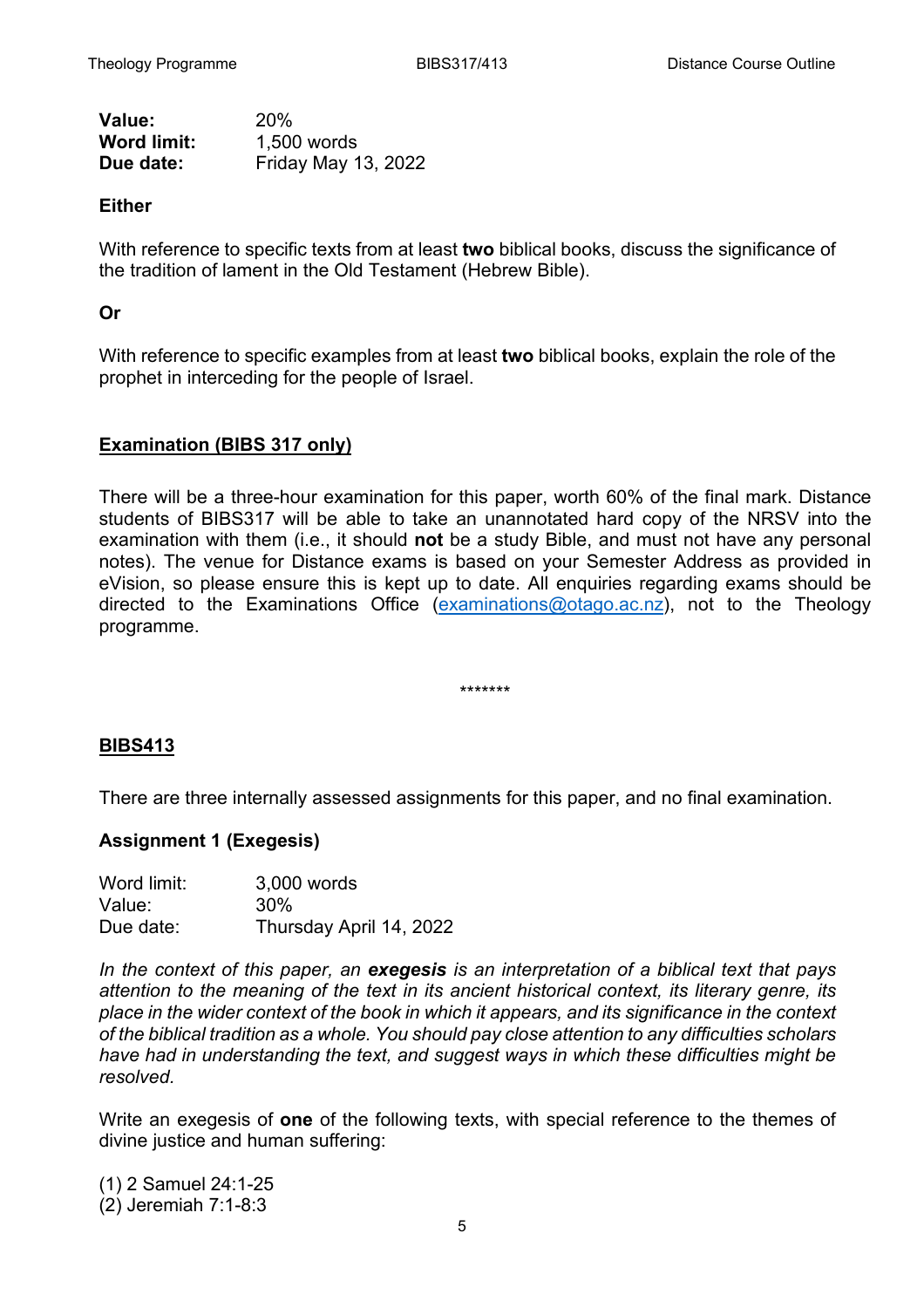| Value:             | 20%                        |
|--------------------|----------------------------|
| <b>Word limit:</b> | 1,500 words                |
| Due date:          | <b>Friday May 13, 2022</b> |

#### **Either**

With reference to specific texts from at least **two** biblical books, discuss the significance of the tradition of lament in the Old Testament (Hebrew Bible).

#### **Or**

With reference to specific examples from at least **two** biblical books, explain the role of the prophet in interceding for the people of Israel.

#### **Examination (BIBS 317 only)**

There will be a three-hour examination for this paper, worth 60% of the final mark. Distance students of BIBS317 will be able to take an unannotated hard copy of the NRSV into the examination with them (i.e., it should **not** be a study Bible, and must not have any personal notes). The venue for Distance exams is based on your Semester Address as provided in eVision, so please ensure this is kept up to date. All enquiries regarding exams should be directed to the Examinations Office [\(examinations@otago.ac.nz\)](mailto:examinations@otago.ac.nz)), not to the Theology programme.

\*\*\*\*\*\*\*

#### **BIBS413**

There are three internally assessed assignments for this paper, and no final examination.

#### **Assignment 1 (Exegesis)**

| Word limit: | 3,000 words             |  |
|-------------|-------------------------|--|
| Value:      | 30%                     |  |
| Due date:   | Thursday April 14, 2022 |  |

*In the context of this paper, an exegesis is an interpretation of a biblical text that pays*  attention to the meaning of the text in its ancient historical context, its literary genre, its *place in the wider context of the book in which it appears, and its significance in the context of the biblical tradition as a whole. You should pay close attention to any difficulties scholars have had in understanding the text, and suggest ways in which these difficulties might be resolved.*

Write an exegesis of **one** of the following texts, with special reference to the themes of divine justice and human suffering:

(1) 2 Samuel 24:1-25 (2) Jeremiah 7:1-8:3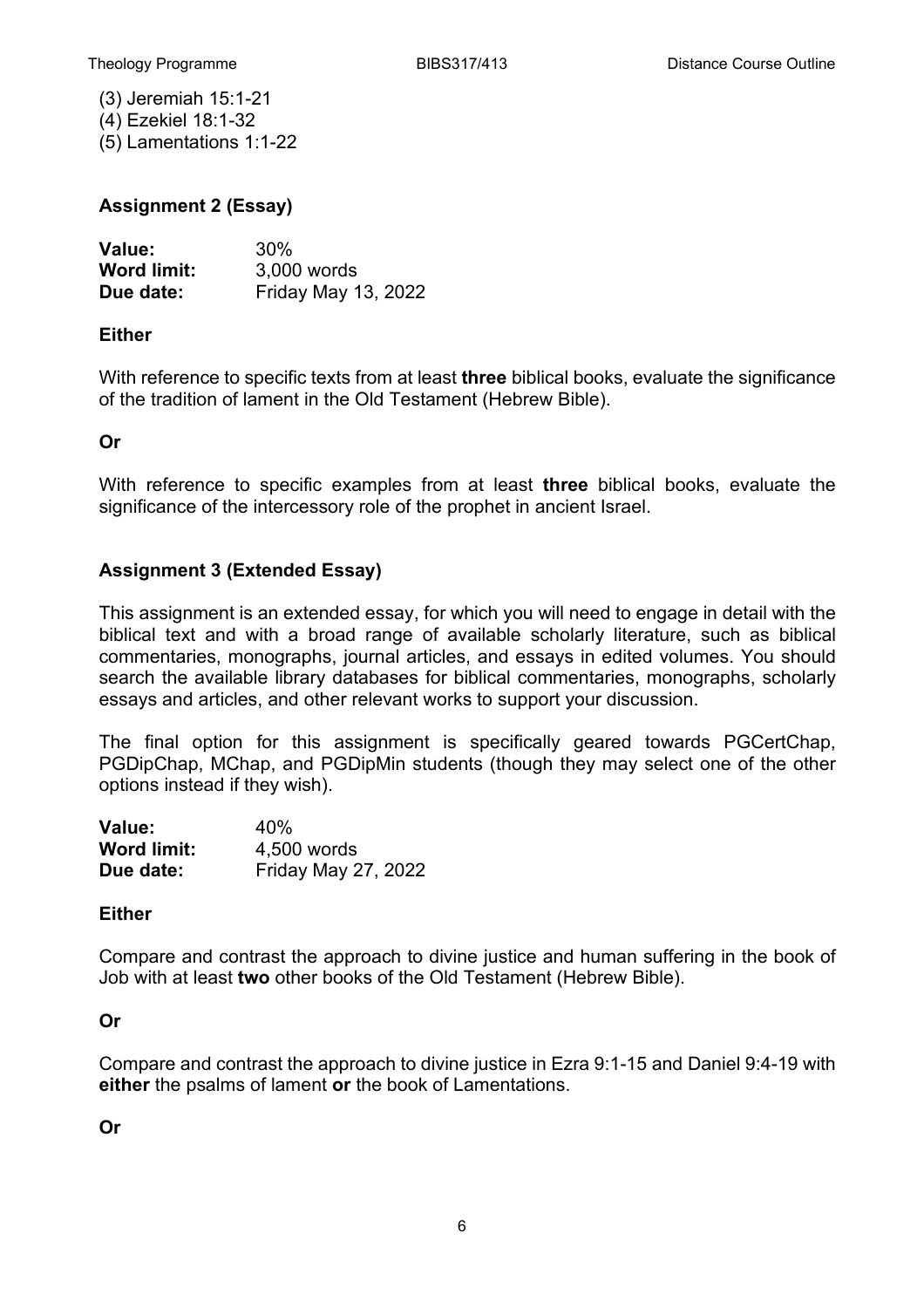(3) Jeremiah 15:1-21 (4) Ezekiel 18:1-32 (5) Lamentations 1:1-22

#### **Assignment 2 (Essay)**

| <b>Value:</b>      | 30%                        |
|--------------------|----------------------------|
| <b>Word limit:</b> | 3,000 words                |
| Due date:          | <b>Friday May 13, 2022</b> |

#### **Either**

With reference to specific texts from at least **three** biblical books, evaluate the significance of the tradition of lament in the Old Testament (Hebrew Bible).

#### **Or**

With reference to specific examples from at least **three** biblical books, evaluate the significance of the intercessory role of the prophet in ancient Israel.

#### **Assignment 3 (Extended Essay)**

This assignment is an extended essay, for which you will need to engage in detail with the biblical text and with a broad range of available scholarly literature, such as biblical commentaries, monographs, journal articles, and essays in edited volumes. You should search the available library databases for biblical commentaries, monographs, scholarly essays and articles, and other relevant works to support your discussion.

The final option for this assignment is specifically geared towards PGCertChap, PGDipChap, MChap, and PGDipMin students (though they may select one of the other options instead if they wish).

| <b>Value:</b>      | 40%                        |
|--------------------|----------------------------|
| <b>Word limit:</b> | 4,500 words                |
| Due date:          | <b>Friday May 27, 2022</b> |

#### **Either**

Compare and contrast the approach to divine justice and human suffering in the book of Job with at least **two** other books of the Old Testament (Hebrew Bible).

#### **Or**

Compare and contrast the approach to divine justice in Ezra 9:1-15 and Daniel 9:4-19 with **either** the psalms of lament **or** the book of Lamentations.

**Or**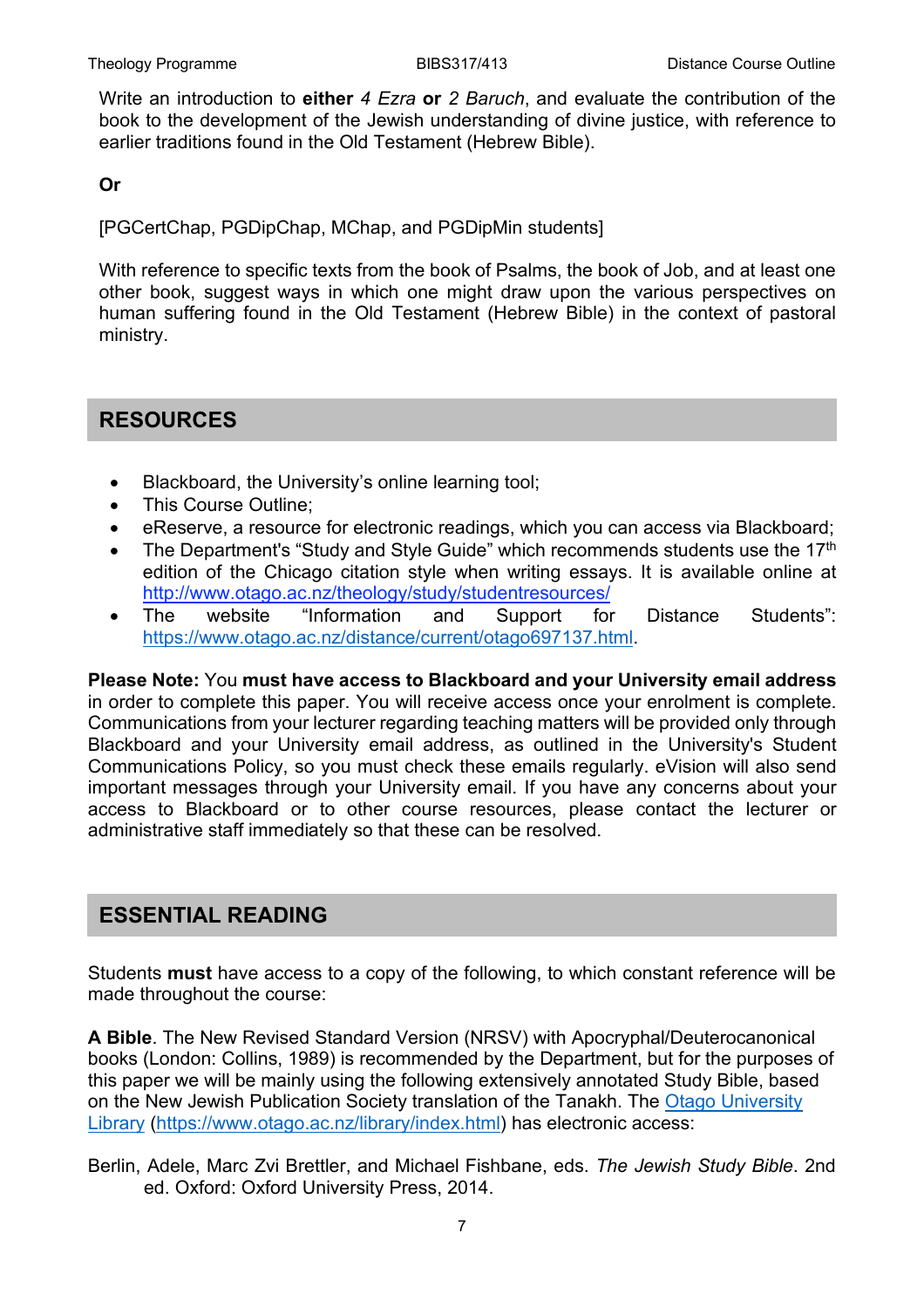Write an introduction to **either** *4 Ezra* **or** *2 Baruch*, and evaluate the contribution of the book to the development of the Jewish understanding of divine justice, with reference to earlier traditions found in the Old Testament (Hebrew Bible).

#### **Or**

[PGCertChap, PGDipChap, MChap, and PGDipMin students]

With reference to specific texts from the book of Psalms, the book of Job, and at least one other book, suggest ways in which one might draw upon the various perspectives on human suffering found in the Old Testament (Hebrew Bible) in the context of pastoral ministry.

#### **RESOURCES**

- Blackboard, the University's online learning tool;
- This Course Outline;
- eReserve, a resource for electronic readings, which you can access via Blackboard;
- The Department's "Study and Style Guide" which recommends students use the 17<sup>th</sup> edition of the Chicago citation style when writing essays. It is available online at <http://www.otago.ac.nz/theology/study/studentresources/>
- The website "Information and Support for Distance Students": [https://www.otago.ac.nz/distance/current/otago697137.html.](https://www.otago.ac.nz/distance/current/otago697137.html)

**Please Note:** You **must have access to Blackboard and your University email address** in order to complete this paper. You will receive access once your enrolment is complete. Communications from your lecturer regarding teaching matters will be provided only through Blackboard and your University email address, as outlined in the University's Student Communications Policy, so you must check these emails regularly. eVision will also send important messages through your University email. If you have any concerns about your access to Blackboard or to other course resources, please contact the lecturer or administrative staff immediately so that these can be resolved.

#### **ESSENTIAL READING**

Students **must** have access to a copy of the following, to which constant reference will be made throughout the course:

**A Bible**. The New Revised Standard Version (NRSV) with Apocryphal/Deuterocanonical books (London: Collins, 1989) is recommended by the Department, but for the purposes of this paper we will be mainly using the following extensively annotated Study Bible, based on the New Jewish Publication Society translation of the Tanakh. The [Otago University](https://www.otago.ac.nz/library/index.html)  [Library](https://www.otago.ac.nz/library/index.html) [\(https://www.otago.ac.nz/library/index.html\)](https://www.otago.ac.nz/library/index.html) has electronic access:

Berlin, Adele, Marc Zvi Brettler, and Michael Fishbane, eds. *The Jewish Study Bible*. 2nd ed. Oxford: Oxford University Press, 2014.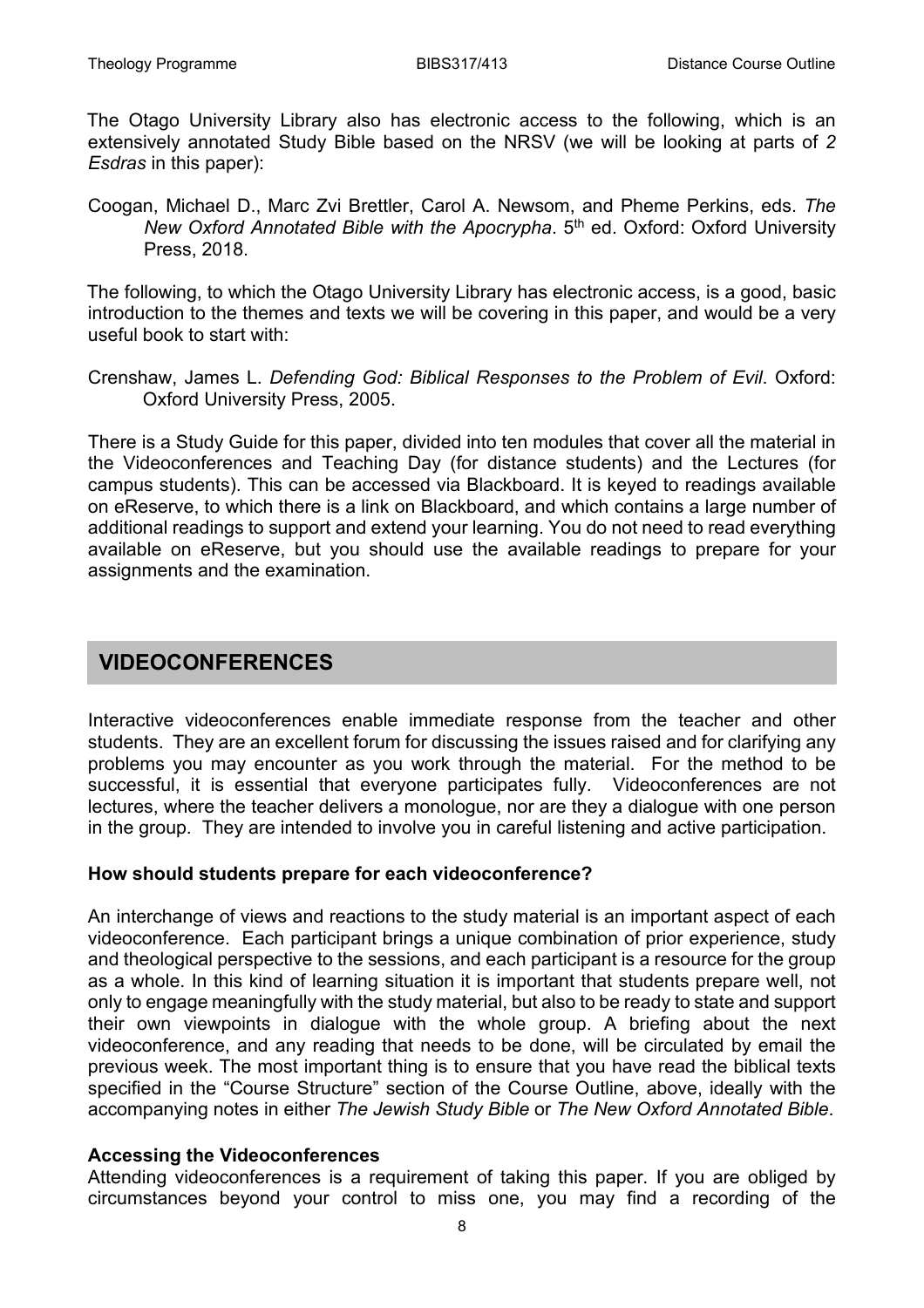The Otago University Library also has electronic access to the following, which is an extensively annotated Study Bible based on the NRSV (we will be looking at parts of *2 Esdras* in this paper):

Coogan, Michael D., Marc Zvi Brettler, Carol A. Newsom, and Pheme Perkins, eds. *The New Oxford Annotated Bible with the Apocrypha*. 5th ed. Oxford: Oxford University Press, 2018.

The following, to which the Otago University Library has electronic access, is a good, basic introduction to the themes and texts we will be covering in this paper, and would be a very useful book to start with:

Crenshaw, James L. *Defending God: Biblical Responses to the Problem of Evil*. Oxford: Oxford University Press, 2005.

There is a Study Guide for this paper, divided into ten modules that cover all the material in the Videoconferences and Teaching Day (for distance students) and the Lectures (for campus students). This can be accessed via Blackboard. It is keyed to readings available on eReserve, to which there is a link on Blackboard, and which contains a large number of additional readings to support and extend your learning. You do not need to read everything available on eReserve, but you should use the available readings to prepare for your assignments and the examination.

#### **VIDEOCONFERENCES**

Interactive videoconferences enable immediate response from the teacher and other students. They are an excellent forum for discussing the issues raised and for clarifying any problems you may encounter as you work through the material. For the method to be successful, it is essential that everyone participates fully. Videoconferences are not lectures, where the teacher delivers a monologue, nor are they a dialogue with one person in the group. They are intended to involve you in careful listening and active participation.

#### **How should students prepare for each videoconference?**

An interchange of views and reactions to the study material is an important aspect of each videoconference. Each participant brings a unique combination of prior experience, study and theological perspective to the sessions, and each participant is a resource for the group as a whole. In this kind of learning situation it is important that students prepare well, not only to engage meaningfully with the study material, but also to be ready to state and support their own viewpoints in dialogue with the whole group. A briefing about the next videoconference, and any reading that needs to be done, will be circulated by email the previous week. The most important thing is to ensure that you have read the biblical texts specified in the "Course Structure" section of the Course Outline, above, ideally with the accompanying notes in either *The Jewish Study Bible* or *The New Oxford Annotated Bible*.

#### **Accessing the Videoconferences**

Attending videoconferences is a requirement of taking this paper. If you are obliged by circumstances beyond your control to miss one, you may find a recording of the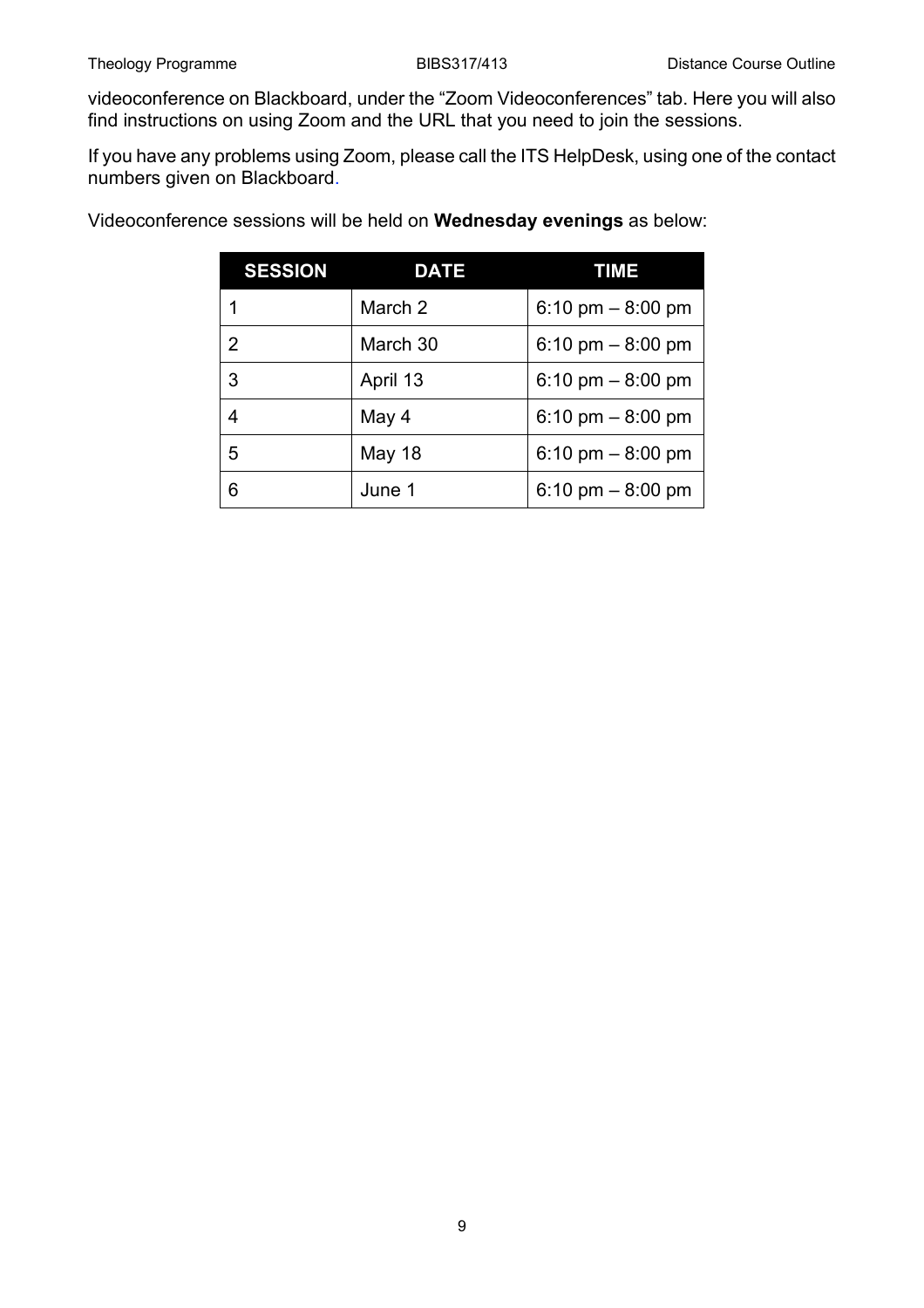videoconference on Blackboard, under the "Zoom Videoconferences" tab. Here you will also find instructions on using Zoom and the URL that you need to join the sessions.

If you have any problems using Zoom, please call the ITS HelpDesk, using one of the contact numbers given on Blackboard.

| <b>SESSION</b> | <b>DATE</b> | TIME               |
|----------------|-------------|--------------------|
|                | March 2     | 6:10 pm $-8:00$ pm |
| 2              | March 30    | 6:10 pm $-8:00$ pm |
| 3              | April 13    | 6:10 pm $-8:00$ pm |
| 4              | May 4       | 6:10 pm $-8:00$ pm |
| 5              | May 18      | 6:10 pm $-8:00$ pm |
| 6              | June 1      | 6:10 pm $-8:00$ pm |

Videoconference sessions will be held on **Wednesday evenings** as below: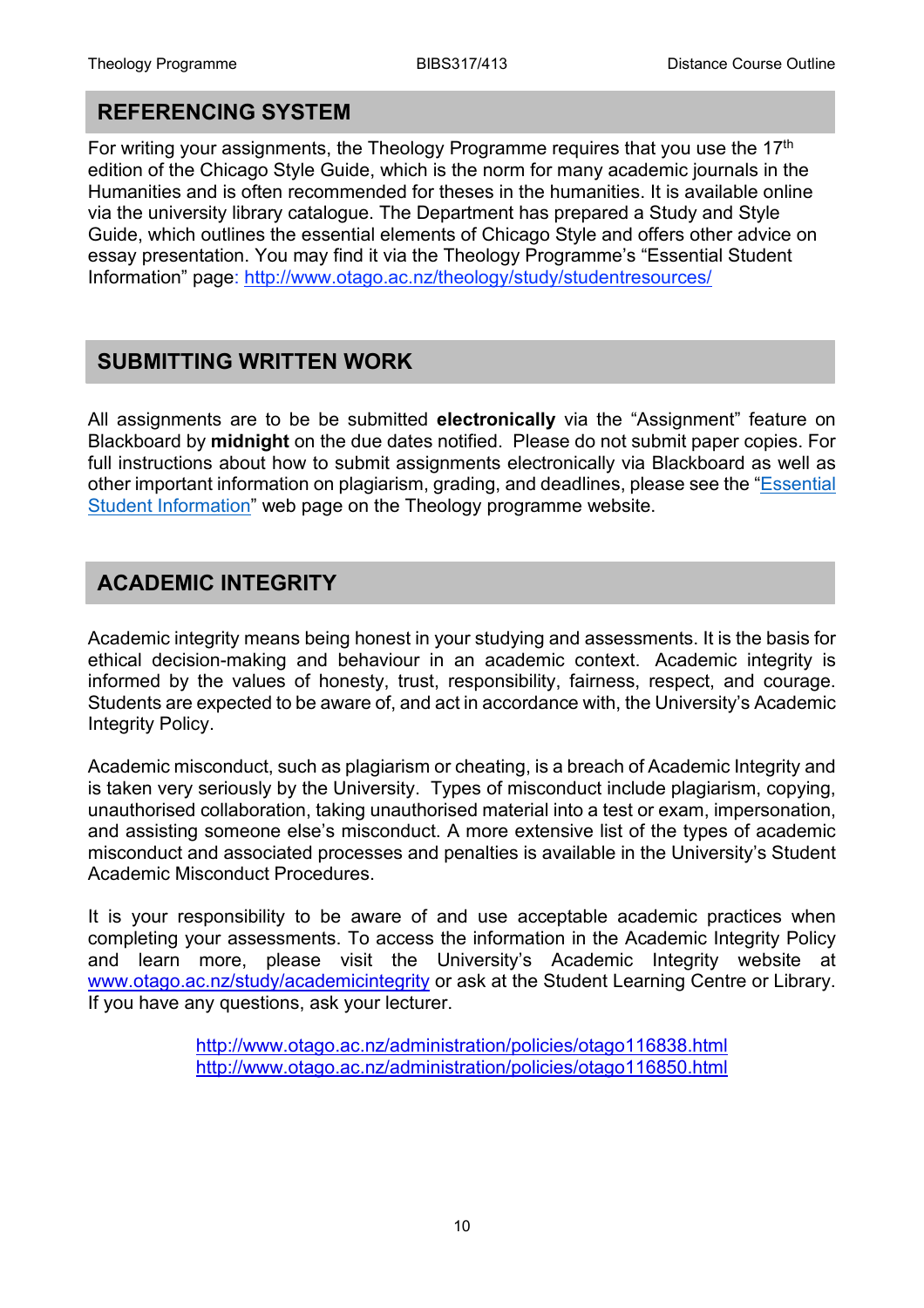#### **REFERENCING SYSTEM**

For writing your assignments, the Theology Programme requires that you use the 17<sup>th</sup> edition of the Chicago Style Guide, which is the norm for many academic journals in the Humanities and is often recommended for theses in the humanities. It is available online via the university library catalogue. The Department has prepared a Study and Style Guide, which outlines the essential elements of Chicago Style and offers other advice on essay presentation. You may find it via the Theology Programme's "Essential Student Information" page:<http://www.otago.ac.nz/theology/study/studentresources/>

#### **SUBMITTING WRITTEN WORK**

All assignments are to be be submitted **electronically** via the "Assignment" feature on Blackboard by **midnight** on the due dates notified. Please do not submit paper copies. For full instructions about how to submit assignments electronically via Blackboard as well as other important information on plagiarism, grading, and deadlines, please see the ["Essential](https://www.otago.ac.nz/theology/study/studentresources/)  [Student Information"](https://www.otago.ac.nz/theology/study/studentresources/) web page on the Theology programme website.

#### **ACADEMIC INTEGRITY**

Academic integrity means being honest in your studying and assessments. It is the basis for ethical decision-making and behaviour in an academic context. Academic integrity is informed by the values of honesty, trust, responsibility, fairness, respect, and courage. Students are expected to be aware of, and act in accordance with, the University's Academic Integrity Policy.

Academic misconduct, such as plagiarism or cheating, is a breach of Academic Integrity and is taken very seriously by the University. Types of misconduct include plagiarism, copying, unauthorised collaboration, taking unauthorised material into a test or exam, impersonation, and assisting someone else's misconduct. A more extensive list of the types of academic misconduct and associated processes and penalties is available in the University's Student Academic Misconduct Procedures.

It is your responsibility to be aware of and use acceptable academic practices when completing your assessments. To access the information in the Academic Integrity Policy and learn more, please visit the University's Academic Integrity website at [www.otago.ac.nz/study/academicintegrity](http://www.otago.ac.nz/study/academicintegrity) or ask at the Student Learning Centre or Library. If you have any questions, ask your lecturer.

> <http://www.otago.ac.nz/administration/policies/otago116838.html> <http://www.otago.ac.nz/administration/policies/otago116850.html>